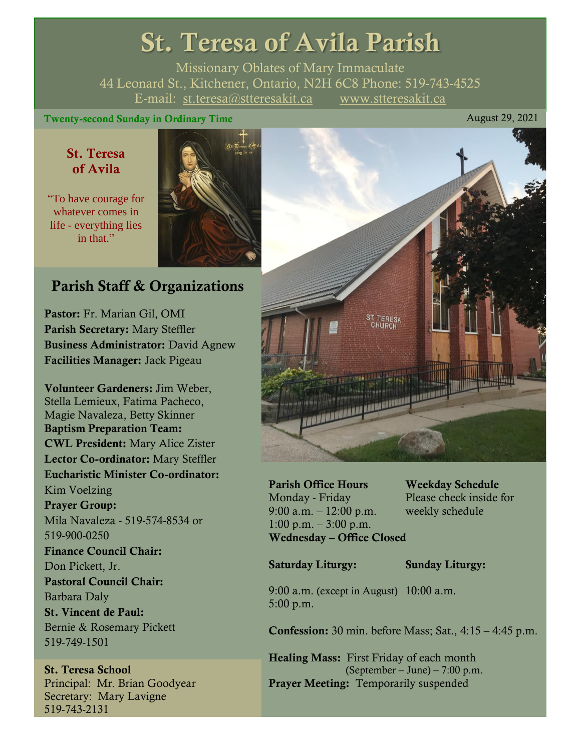# St. Teresa of Avila Parish

Missionary Oblates of Mary Immaculate 44 Leonard St., Kitchener, Ontario, N2H 6C8 Phone: 519-743-4525 E-mail: [st.teresa@stteresakit.ca](mailto:st.teresa@stteresakit.ca) [www.stteresakit.ca](http://www.stteresakit.ca/)

#### Twenty-second Sunday in Ordinary Time August 29, 2021

### St. Teresa of Avila

"To have courage for whatever comes in life - everything lies in that."



# Parish Staff & Organizations

Pastor: Fr. Marian Gil, OMI Parish Secretary: Mary Steffler Business Administrator: David Agnew Facilities Manager: Jack Pigeau

Volunteer Gardeners: Jim Weber, Stella Lemieux, Fatima Pacheco, Magie Navaleza, Betty Skinner Baptism Preparation Team: CWL President: Mary Alice Zister Lector Co-ordinator: Mary Steffler Eucharistic Minister Co-ordinator: Kim Voelzing Prayer Group: Mila Navaleza - 519-574-8534 or 519-900-0250 Finance Council Chair: Don Pickett, Jr. Pastoral Council Chair: Barbara Daly St. Vincent de Paul: Bernie & Rosemary Pickett 519-749-1501

St. Teresa School Principal: Mr. Brian Goodyear Secretary: Mary Lavigne 519-743-2131



Parish Office Hours Weekday Schedule Monday - Friday Please check inside for 9:00 a.m. – 12:00 p.m. weekly schedule  $1:00 \text{ p.m.} - 3:00 \text{ p.m.}$ Wednesday – Office Closed

Saturday Liturgy: Sunday Liturgy:

9:00 a.m. (except in August) 10:00 a.m. 5:00 p.m.

Confession: 30 min. before Mass; Sat., 4:15 – 4:45 p.m.

Healing Mass: First Friday of each month (September – June) – 7:00 p.m. Prayer Meeting: Temporarily suspended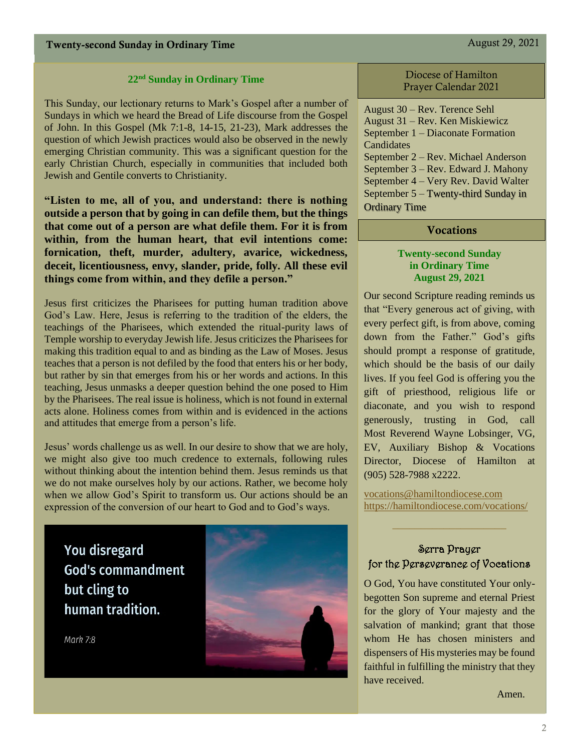#### **22nd Sunday in Ordinary Time**

This Sunday, our lectionary returns to Mark's Gospel after a number of Sundays in which we heard the Bread of Life discourse from the Gospel of John. In this Gospel (Mk 7:1-8, 14-15, 21-23), Mark addresses the question of which Jewish practices would also be observed in the newly emerging Christian community. This was a significant question for the early Christian Church, especially in communities that included both Jewish and Gentile converts to Christianity.

**"Listen to me, all of you, and understand: there is nothing outside a person that by going in can defile them, but the things that come out of a person are what defile them. For it is from within, from the human heart, that evil intentions come: fornication, theft, murder, adultery, avarice, wickedness, deceit, licentiousness, envy, slander, pride, folly. All these evil things come from within, and they defile a person."**

Jesus first criticizes the Pharisees for putting human tradition above God's Law. Here, Jesus is referring to the tradition of the elders, the teachings of the Pharisees, which extended the ritual-purity laws of Temple worship to everyday Jewish life. Jesus criticizes the Pharisees for making this tradition equal to and as binding as the Law of Moses. Jesus teaches that a person is not defiled by the food that enters his or her body, but rather by sin that emerges from his or her words and actions. In this teaching, Jesus unmasks a deeper question behind the one posed to Him by the Pharisees. The real issue is holiness, which is not found in external acts alone. Holiness comes from within and is evidenced in the actions and attitudes that emerge from a person's life.

Jesus' words challenge us as well. In our desire to show that we are holy, we might also give too much credence to externals, following rules without thinking about the intention behind them. Jesus reminds us that we do not make ourselves holy by our actions. Rather, we become holy when we allow God's Spirit to transform us. Our actions should be an expression of the conversion of our heart to God and to God's ways.

**You disregard God's commandment** but cling to human tradition.

Mark 7:8



#### Diocese of Hamilton Prayer Calendar 2021

August 30 – Rev. Terence Sehl August 31 – Rev. Ken Miskiewicz September 1 – Diaconate Formation **Candidates** September 2 – Rev. Michael Anderson September 3 – Rev. Edward J. Mahony September 4 – Very Rev. David Walter September 5 – Twenty-third Sunday in Ordinary Time

#### **Vocations**

#### **Twenty-second Sunday in Ordinary Time August 29, 2021**

Our second Scripture reading reminds us that "Every generous act of giving, with every perfect gift, is from above, coming down from the Father." God's gifts should prompt a response of gratitude, which should be the basis of our daily lives. If you feel God is offering you the gift of priesthood, religious life or diaconate, and you wish to respond generously, trusting in God, call Most Reverend Wayne Lobsinger, VG, EV, Auxiliary Bishop & Vocations Director, Diocese of Hamilton at (905) 528-7988 x2222.

[vocations@hamiltondiocese.com](mailto:vocations@hamiltondiocese.com)  <https://hamiltondiocese.com/vocations/>

#### Serra Prayer for the Perseverance of Vocations

 $\_$ 

O God, You have constituted Your onlybegotten Son supreme and eternal Priest for the glory of Your majesty and the salvation of mankind; grant that those whom He has chosen ministers and dispensers of His mysteries may be found faithful in fulfilling the ministry that they have received.

Amen.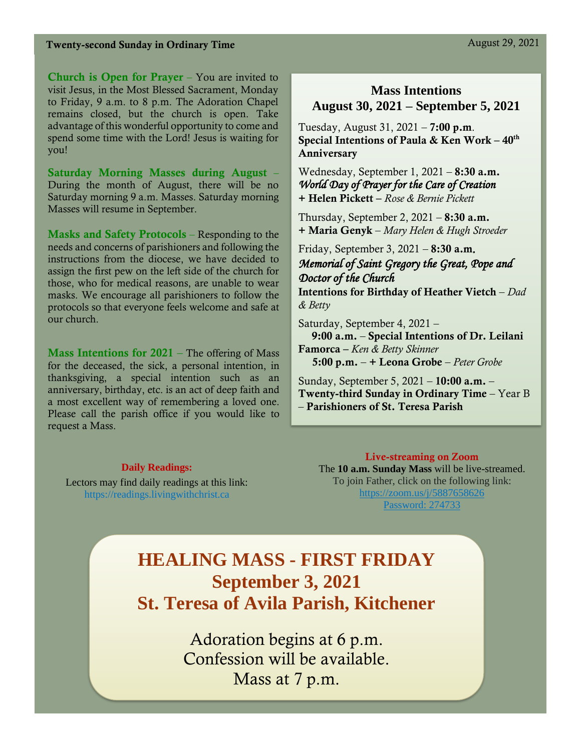#### Twenty-second Sunday in Ordinary Time August 29, 2021

Church is Open for Prayer – You are invited to visit Jesus, in the Most Blessed Sacrament, Monday to Friday, 9 a.m. to 8 p.m. The Adoration Chapel remains closed, but the church is open. Take advantage of this wonderful opportunity to come and spend some time with the Lord! Jesus is waiting for you!

Saturday Morning Masses during August – During the month of August, there will be no Saturday morning 9 a.m. Masses. Saturday morning Masses will resume in September.

Masks and Safety Protocols – Responding to the needs and concerns of parishioners and following the instructions from the diocese, we have decided to assign the first pew on the left side of the church for those, who for medical reasons, are unable to wear masks. We encourage all parishioners to follow the protocols so that everyone feels welcome and safe at our church.

**Mass Intentions for 2021** – The offering of Mass for the deceased, the sick, a personal intention, in thanksgiving, a special intention such as an anniversary, birthday, etc. is an act of deep faith and a most excellent way of remembering a loved one. Please call the parish office if you would like to request a Mass.

#### **Daily Readings:**

Lectors may find daily readings at this link: https://readings.livingwithchrist.ca

### **Mass Intentions August 30, 2021 – September 5, 2021**

Tuesday, August 31,  $2021 - 7:00$  p.m. Special Intentions of Paula & Ken Work  $-40<sup>th</sup>$ Anniversary

Wednesday, September 1, 2021 - 8:30 a.m. *World Day of Prayer for the Care of Creation* + Helen Pickett – *Rose & Bernie Pickett*

Thursday, September 2,  $2021 - 8:30$  a.m. + Maria Genyk – *Mary Helen & Hugh Stroeder* 

Friday, September 3, 2021 – 8:30 a.m*. Memorial of Saint Gregory the Great, Pope and Doctor of the Church*  Intentions for Birthday of Heather Vietch – *Dad & Betty*

Saturday, September 4, 2021 – 9:00 a.m. – Special Intentions of Dr. Leilani Famorca – *Ken & Betty Skinner* 5:00 p.m. – + Leona Grobe – *Peter Grobe*

Sunday, September 5, 2021 – 10:00 a.m. – Twenty-third Sunday in Ordinary Time – Year B – Parishioners of St. Teresa Parish

Live-streaming on Zoom The **10 a.m. Sunday Mass** will be live-streamed. To join Father, click on the following link: <https://zoom.us/j/5887658626> Password: 274733

# **HEALING MASS - FIRST FRIDAY September 3, 2021 St. Teresa of Avila Parish, Kitchener**

Adoration begins at 6 p.m. Confession will be available. Mass at 7 p.m.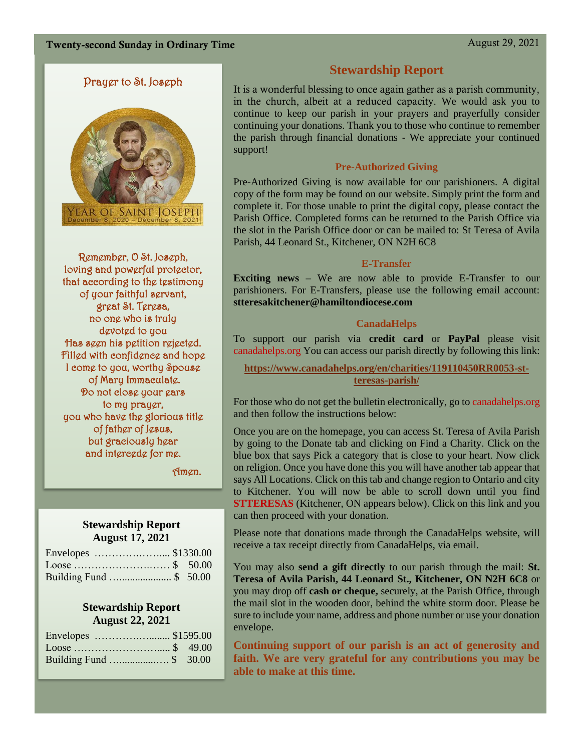#### Prayer to St. Joseph



Remember, O St. Joseph, loving and powerful protector, that according to the testimony of your faithful servant, great St. Teresa, no one who is truly devoted to you Has seen his petition rejected. Filled with confidence and hope I come to you, worthy Spouse of Mary Immaculate. Do not close your ears to my prayer, you who have the glorious title of father of Jesus, but graciously hear and intercede for me.

Amen.

#### **Stewardship Report August 17, 2021**

| Envelopes  \$1330.00   |  |
|------------------------|--|
| Loose \$ 50.00         |  |
| Building Fund \$ 50.00 |  |

#### **Stewardship Report August 22, 2021**

| Building Fund  \$ 30.00 |  |
|-------------------------|--|

#### **Stewardship Report**

It is a wonderful blessing to once again gather as a parish community, in the church, albeit at a reduced capacity. We would ask you to continue to keep our parish in your prayers and prayerfully consider continuing your donations. Thank you to those who continue to remember the parish through financial donations - We appreciate your continued support!

#### **Pre-Authorized Giving**

Pre-Authorized Giving is now available for our parishioners. A digital copy of the form may be found on our website. Simply print the form and complete it. For those unable to print the digital copy, please contact the Parish Office. Completed forms can be returned to the Parish Office via the slot in the Parish Office door or can be mailed to: St Teresa of Avila Parish, 44 Leonard St., Kitchener, ON N2H 6C8

#### **E-Transfer**

**Exciting news** – We are now able to provide E-Transfer to our parishioners. For E-Transfers, please use the following email account: **stteresakitchener@hamiltondiocese.com**

#### **CanadaHelps**

To support our parish via **credit card** or **PayPal** please visit canadahelps.org You can access our parish directly by following this link:

**[https://www.canadahelps.org/en/charities/119110450RR0053-st](https://www.canadahelps.org/en/charities/119110450RR0053-st-teresas-parish/)[teresas-parish/](https://www.canadahelps.org/en/charities/119110450RR0053-st-teresas-parish/)**

For those who do not get the bulletin electronically, go to canadahelps.org and then follow the instructions below:

Once you are on the homepage, you can access St. Teresa of Avila Parish by going to the Donate tab and clicking on Find a Charity. Click on the blue box that says Pick a category that is close to your heart. Now click on religion. Once you have done this you will have another tab appear that says All Locations. Click on this tab and change region to Ontario and city to Kitchener. You will now be able to scroll down until you find **STTERESAS** (Kitchener, ON appears below). Click on this link and you can then proceed with your donation.

Please note that donations made through the CanadaHelps website, will receive a tax receipt directly from CanadaHelps, via email.

You may also **send a gift directly** to our parish through the mail: **St. Teresa of Avila Parish, 44 Leonard St., Kitchener, ON N2H 6C8** or you may drop off **cash or cheque,** securely, at the Parish Office, through the mail slot in the wooden door, behind the white storm door. Please be sure to include your name, address and phone number or use your donation envelope.

**Continuing support of our parish is an act of generosity and faith. We are very grateful for any contributions you may be able to make at this time.**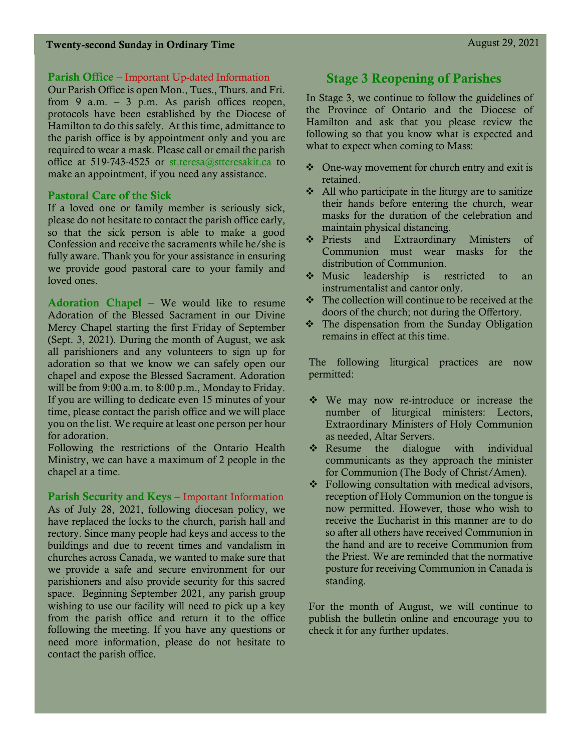#### Parish Office – Important Up-dated Information

Our Parish Office is open Mon., Tues., Thurs. and Fri. from 9 a.m. – 3 p.m. As parish offices reopen, protocols have been established by the Diocese of Hamilton to do this safely. At this time, admittance to the parish office is by appointment only and you are required to wear a mask. Please call or email the parish office at 519-743-4525 or [st.teresa@stteresakit.ca](mailto:st.teresa@stteresakit.ca) to make an appointment, if you need any assistance.

#### Pastoral Care of the Sick

If a loved one or family member is seriously sick, please do not hesitate to contact the parish office early, so that the sick person is able to make a good Confession and receive the sacraments while he/she is fully aware. Thank you for your assistance in ensuring we provide good pastoral care to your family and loved ones.

Adoration Chapel – We would like to resume Adoration of the Blessed Sacrament in our Divine Mercy Chapel starting the first Friday of September (Sept. 3, 2021). During the month of August, we ask all parishioners and any volunteers to sign up for adoration so that we know we can safely open our chapel and expose the Blessed Sacrament. Adoration will be from 9:00 a.m. to 8:00 p.m., Monday to Friday. If you are willing to dedicate even 15 minutes of your time, please contact the parish office and we will place you on the list. We require at least one person per hour for adoration.

Following the restrictions of the Ontario Health Ministry, we can have a maximum of 2 people in the chapel at a time.

#### Parish Security and Keys – Important Information

As of July 28, 2021, following diocesan policy, we have replaced the locks to the church, parish hall and rectory. Since many people had keys and access to the buildings and due to recent times and vandalism in churches across Canada, we wanted to make sure that we provide a safe and secure environment for our parishioners and also provide security for this sacred space. Beginning September 2021, any parish group wishing to use our facility will need to pick up a key from the parish office and return it to the office following the meeting. If you have any questions or need more information, please do not hesitate to contact the parish office.

## Stage 3 Reopening of Parishes

In Stage 3, we continue to follow the guidelines of the Province of Ontario and the Diocese of Hamilton and ask that you please review the following so that you know what is expected and what to expect when coming to Mass:

- ❖ One-way movement for church entry and exit is retained.
- ❖ All who participate in the liturgy are to sanitize their hands before entering the church, wear masks for the duration of the celebration and maintain physical distancing.
- ❖ Priests and Extraordinary Ministers of Communion must wear masks for the distribution of Communion.
- ❖ Music leadership is restricted to an instrumentalist and cantor only.
- ❖ The collection will continue to be received at the doors of the church; not during the Offertory.
- ❖ The dispensation from the Sunday Obligation remains in effect at this time.

The following liturgical practices are now permitted:

- ❖ We may now re-introduce or increase the number of liturgical ministers: Lectors, Extraordinary Ministers of Holy Communion as needed, Altar Servers.
- ❖ Resume the dialogue with individual communicants as they approach the minister for Communion (The Body of Christ/Amen).
- ❖ Following consultation with medical advisors, reception of Holy Communion on the tongue is now permitted. However, those who wish to receive the Eucharist in this manner are to do so after all others have received Communion in the hand and are to receive Communion from the Priest. We are reminded that the normative posture for receiving Communion in Canada is standing.

For the month of August, we will continue to publish the bulletin online and encourage you to check it for any further updates.